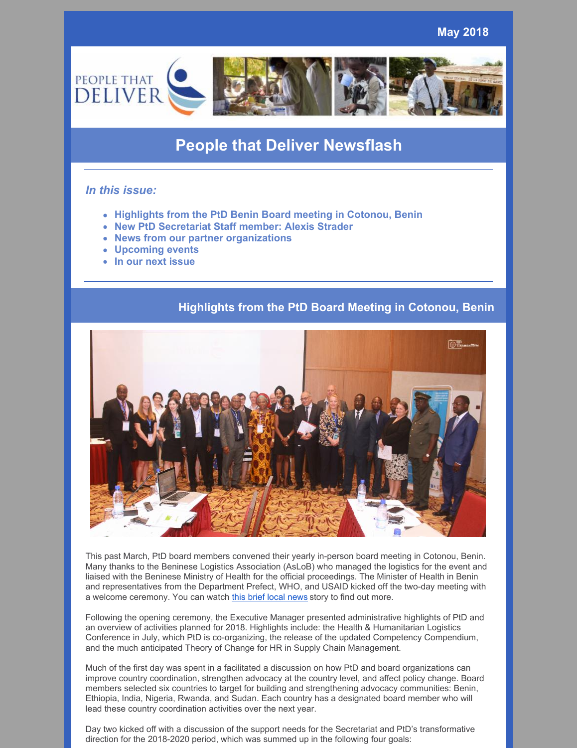

# **People that Deliver Newsflash**

## *In this issue:*

- **Highlights from the PtD Benin Board meeting in Cotonou, Benin**
- **New PtD Secretariat Staff member: Alexis Strader**
- **News from our partner organizations**
- **Upcoming events**
- **In our next issue**

# **Highlights from the PtD Board Meeting in Cotonou, Benin**



This past March, PtD board members convened their yearly in-person board meeting in Cotonou, Benin. Many thanks to the Beninese Logistics Association (AsLoB) who managed the logistics for the event and liaised with the Beninese Ministry of Health for the official proceedings. The Minister of Health in Benin and representatives from the Department Prefect, WHO, and USAID kicked off the two-day meeting with a welcome ceremony. You can watch this brief local [news](http://www.ortb.bj/index.php/component/k2/item/7970-people-that-deliver-veut-ameliorer-l-approvisionnement-des-produits-de-sante) story to find out more.

Following the opening ceremony, the Executive Manager presented administrative highlights of PtD and an overview of activities planned for 2018. Highlights include: the Health & Humanitarian Logistics Conference in July, which PtD is co-organizing, the release of the updated Competency Compendium, and the much anticipated Theory of Change for HR in Supply Chain Management.

Much of the first day was spent in a facilitated a discussion on how PtD and board organizations can improve country coordination, strengthen advocacy at the country level, and affect policy change. Board members selected six countries to target for building and strengthening advocacy communities: Benin, Ethiopia, India, Nigeria, Rwanda, and Sudan. Each country has a designated board member who will lead these country coordination activities over the next year.

Day two kicked off with a discussion of the support needs for the Secretariat and PtD's transformative direction for the 2018-2020 period, which was summed up in the following four goals: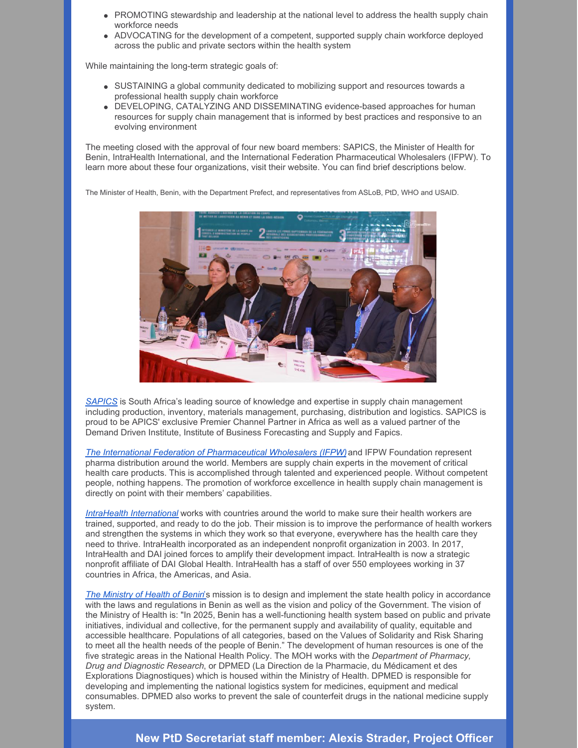- PROMOTING stewardship and leadership at the national level to address the health supply chain workforce needs
- ADVOCATING for the development of a competent, supported supply chain workforce deployed across the public and private sectors within the health system

While maintaining the long-term strategic goals of:

- SUSTAINING a global community dedicated to mobilizing support and resources towards a professional health supply chain workforce
- DEVELOPING, CATALYZING AND DISSEMINATING evidence-based approaches for human resources for supply chain management that is informed by best practices and responsive to an evolving environment

The meeting closed with the approval of four new board members: SAPICS, the Minister of Health for Benin, IntraHealth International, and the International Federation Pharmaceutical Wholesalers (IFPW). To learn more about these four organizations, visit their website. You can find brief descriptions below.

The Minister of Health, Benin, with the Department Prefect, and representatives from ASLoB, PtD, WHO and USAID.



*[SAPICS](http://www.sapics.org/)* is South Africa's leading source of knowledge and expertise in supply chain management including production, inventory, materials management, purchasing, distribution and logistics. SAPICS is proud to be APICS' exclusive Premier Channel Partner in Africa as well as a valued partner of the Demand Driven Institute, Institute of Business Forecasting and Supply and Fapics.

*The International Federation of [Pharmaceutical](http://www.ifpw.com/) Wholesalers (IFPW)*and IFPW Foundation represent pharma distribution around the world. Members are supply chain experts in the movement of critical health care products. This is accomplished through talented and experienced people. Without competent people, nothing happens. The promotion of workforce excellence in health supply chain management is directly on point with their members' capabilities.

*IntraHealth [International](https://www.intrahealth.org/)* works with countries around the world to make sure their health workers are trained, supported, and ready to do the job. Their mission is to improve the performance of health workers and strengthen the systems in which they work so that everyone, everywhere has the health care they need to thrive. IntraHealth incorporated as an independent nonprofit organization in 2003. In 2017, IntraHealth and DAI joined forces to amplify their development impact. IntraHealth is now a strategic nonprofit affiliate of DAI Global Health. IntraHealth has a staff of over 550 employees working in 37 countries in Africa, the Americas, and Asia.

*The [Ministry](http://www.sante.gouv.bj/) of Health of Beni[n](http://www.sante.gouv.bj/)*'s mission is to design and implement the state health policy in accordance with the laws and regulations in Benin as well as the vision and policy of the Government. The vision of the Ministry of Health is: "In 2025, Benin has a well-functioning health system based on public and private initiatives, individual and collective, for the permanent supply and availability of quality, equitable and accessible healthcare. Populations of all categories, based on the Values of Solidarity and Risk Sharing to meet all the health needs of the people of Benin." The development of human resources is one of the five strategic areas in the National Health Policy. The MOH works with the *Department of Pharmacy, Drug and Diagnostic Research*, or DPMED (La Direction de la Pharmacie, du Médicament et des Explorations Diagnostiques) which is housed within the Ministry of Health. DPMED is responsible for developing and implementing the national logistics system for medicines, equipment and medical consumables. DPMED also works to prevent the sale of counterfeit drugs in the national medicine supply system.

## **New PtD Secretariat staff member: Alexis Strader, Project Officer**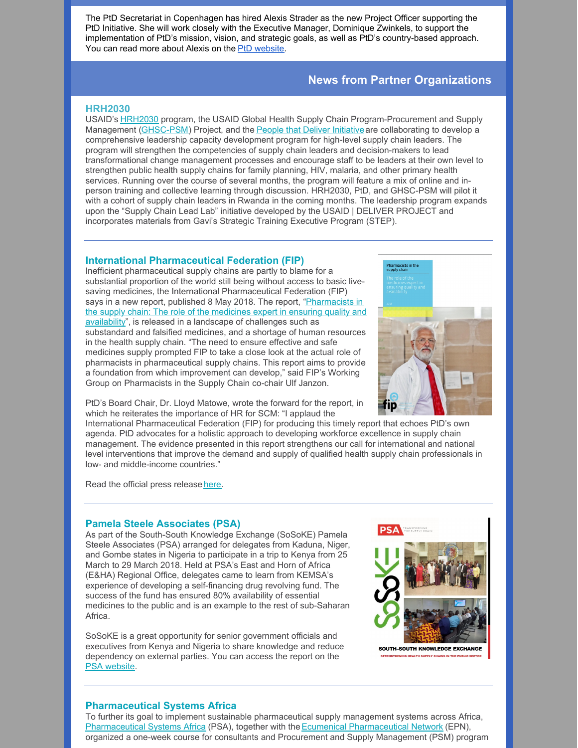The PtD Secretariat in Copenhagen has hired Alexis Strader as the new Project Officer supporting the PtD Initiative. She will work closely with the Executive Manager, Dominique Zwinkels, to support the implementation of PtD's mission, vision, and strategic goals, as well as PtD's country-based approach. You can read more about Alexis on the PtD [website](https://peoplethatdeliver.org/ptd/about-us/our-board).

## **News from Partner Organizations**

### **HRH2030**

USAID's [HRH2030](http://www.hrh2030program.org/) program, the USAID Global Health Supply Chain Program-Procurement and Supply Management [\(GHSC-PSM\)](https://www.ghsupplychain.org/) Project, and the People that Deliver [Initiative](https://peoplethatdeliver.org/) are collaborating to develop a comprehensive leadership capacity development program for high-level supply chain leaders. The program will strengthen the competencies of supply chain leaders and decision-makers to lead transformational change management processes and encourage staff to be leaders at their own level to strengthen public health supply chains for family planning, HIV, malaria, and other primary health services. Running over the course of several months, the program will feature a mix of online and inperson training and collective learning through discussion. HRH2030, PtD, and GHSC-PSM will pilot it with a cohort of supply chain leaders in Rwanda in the coming months. The leadership program expands upon the "Supply Chain Lead Lab" initiative developed by the USAID | DELIVER PROJECT and incorporates materials from Gavi's Strategic Training Executive Program (STEP).

#### **International Pharmaceutical Federation (FIP)**

Inefficient pharmaceutical supply chains are partly to blame for a substantial proportion of the world still being without access to basic livesaving medicines, the International Pharmaceutical Federation (FIP) says in a new report, published 8 May 2018. The report, ["Pharmacists](https://fip.org/files/fip/publications/Pharmacists_in_the_supply_chain_The_role_of_the_medicines_expert_in_ensuring_quality_and_availability.pdf) in the supply chain: The role of the medicines expert in ensuring quality and availability", is released in a landscape of challenges such as substandard and falsified medicines, and a shortage of human resources in the health supply chain. "The need to ensure effective and safe medicines supply prompted FIP to take a close look at the actual role of pharmacists in pharmaceutical supply chains. This report aims to provide a foundation from which improvement can develop," said FIP's Working Group on Pharmacists in the Supply Chain co-chair Ulf Janzon.



PtD's Board Chair, Dr. Lloyd Matowe, wrote the forward for the report, in which he reiterates the importance of HR for SCM: "I applaud the

International Pharmaceutical Federation (FIP) for producing this timely report that echoes PtD's own agenda. PtD advocates for a holistic approach to developing workforce excellence in supply chain management. The evidence presented in this report strengthens our call for international and national level interventions that improve the demand and supply of qualified health supply chain professionals in low- and middle-income countries."

Read the official press release [here](https://mailchi.mp/fip/focus-on-pharmacists-supply-chain-expertise-in-order-to-improve-access-to-medicines-fip-says).

#### **Pamela Steele Associates (PSA)**

As part of the South-South Knowledge Exchange (SoSoKE) Pamela Steele Associates (PSA) arranged for delegates from Kaduna, Niger, and Gombe states in Nigeria to participate in a trip to Kenya from 25 March to 29 March 2018. Held at PSA's East and Horn of Africa (E&HA) Regional Office, delegates came to learn from KEMSA's experience of developing a self-financing drug revolving fund. The success of the fund has ensured 80% availability of essential medicines to the public and is an example to the rest of sub-Saharan Africa.

SoSoKE is a great opportunity for senior government officials and executives from Kenya and Nigeria to share knowledge and reduce dependency on external parties. You can access the report on the PSA [website](http://www.pamsteele.co.uk/wp-content/uploads/2018/03/PSA_SoSoKE_Report-Final_2018-1.pdf).



#### **Pharmaceutical Systems Africa**

To further its goal to implement sustainable pharmaceutical supply management systems across Africa, [Pharmaceutical](http://www.epnetwork.org/index.php/en/) Systems Africa (PSA), together with the Ecumenical Pharmaceutical Network (EPN), organized a one-week course for consultants and Procurement and Supply Management (PSM) program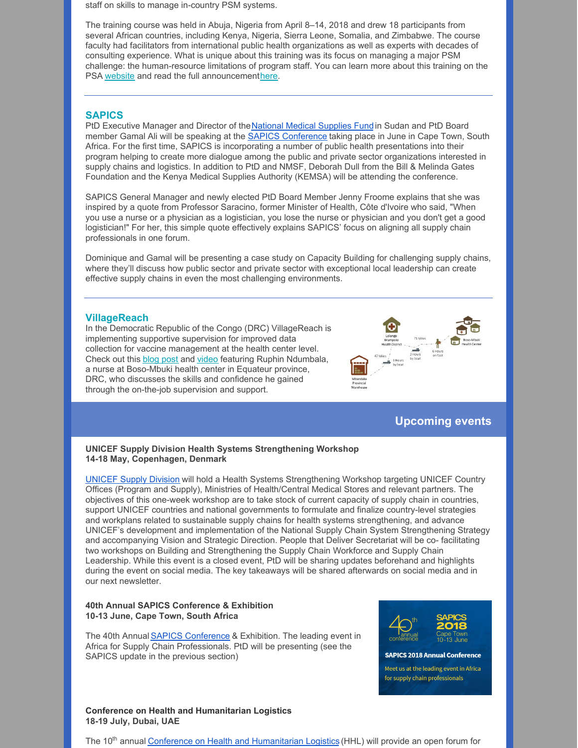staff on skills to manage in-country PSM systems.

The training course was held in Abuja, Nigeria from April 8–14, 2018 and drew 18 participants from several African countries, including Kenya, Nigeria, Sierra Leone, Somalia, and Zimbabwe. The course faculty had facilitators from international public health organizations as well as experts with decades of consulting experience. What is unique about this training was its focus on managing a major PSM challenge: the human-resource limitations of program staff. You can learn more about this training on the PSA [website](http://pharmasystafrica.com/events/hands-on-training-on-psm-skills-nigeria-april-8-14-2018/) and read the full announcement[here](http://pharmasystafrica.com/wp-content/uploads/2018/02/psa-training-april-2018.pdf).

## **SAPICS**

PtD Executive Manager and Director of theNational Medical [Supplies](http://www.nmsf.gov.sd/) Fund in Sudan and PtD Board member Gamal Ali will be speaking at the SAPICS [Conference](https://conference.sapics.org/) taking place in June in Cape Town, South Africa. For the first time, SAPICS is incorporating a number of public health presentations into their program helping to create more dialogue among the public and private sector organizations interested in supply chains and logistics. In addition to PtD and NMSF, Deborah Dull from the Bill & Melinda Gates Foundation and the Kenya Medical Supplies Authority (KEMSA) will be attending the conference.

SAPICS General Manager and newly elected PtD Board Member Jenny Froome explains that she was inspired by a quote from Professor Saracino, former Minister of Health, Côte d'Ivoire who said, "When you use a nurse or a physician as a logistician, you lose the nurse or physician and you don't get a good logistician!" For her, this simple quote effectively explains SAPICS' focus on aligning all supply chain professionals in one forum.

Dominique and Gamal will be presenting a case study on Capacity Building for challenging supply chains, where they'll discuss how public sector and private sector with exceptional local leadership can create effective supply chains in even the most challenging environments.

#### **VillageReach**

In the Democratic Republic of the Congo (DRC) VillageReach is implementing supportive supervision for improved data collection for vaccine management at the health center level. Check out this [blog](http://www.villagereach.org/2018/04/25/delivering-on-a-promise-improved-data-helps-protect-the-boso-mbuki-community/) post and [video](https://www.youtube.com/watch?v=I_LpDz-aowE) featuring Ruphin Ndumbala, a nurse at Boso-Mbuki health center in Equateur province, DRC, who discusses the skills and confidence he gained through the on-the-job supervision and support.



# **Upcoming events**

#### **UNICEF Supply Division Health Systems Strengthening Workshop 14-18 May, Copenhagen, Denmark**

[UNICEF](https://www.unicef.org/supply/) Supply Division will hold a Health Systems Strengthening Workshop targeting UNICEF Country Offices (Program and Supply), Ministries of Health/Central Medical Stores and relevant partners. The objectives of this one-week workshop are to take stock of current capacity of supply chain in countries, support UNICEF countries and national governments to formulate and finalize country-level strategies and workplans related to sustainable supply chains for health systems strengthening, and advance UNICEF's development and implementation of the National Supply Chain System Strengthening Strategy and accompanying Vision and Strategic Direction. People that Deliver Secretariat will be co- facilitating two workshops on Building and Strengthening the Supply Chain Workforce and Supply Chain Leadership. While this event is a closed event, PtD will be sharing updates beforehand and highlights during the event on social media. The key takeaways will be shared afterwards on social media and in our next newsletter.

## **40th Annual SAPICS Conference & Exhibition 10-13 June, Cape Town, South Africa**

The 40th Annual SAPICS [Conference](https://conference.sapics.org/delegates/) & Exhibition. The leading event in Africa for Supply Chain Professionals. PtD will be presenting (see the SAPICS update in the previous section)



#### **SAPICS 2018 Annual Conference**

Meet us at the leading event in Africa for supply chain professionals

#### **Conference on Health and Humanitarian Logistics 18-19 July, Dubai, UAE**

The 10<sup>th</sup> annua[l](https://chhs.gatech.edu/conference/2018/) Conference on Health and [Humanitarian](https://chhs.gatech.edu/conference/2018/) Logistics (HHL) will provide an open forum for